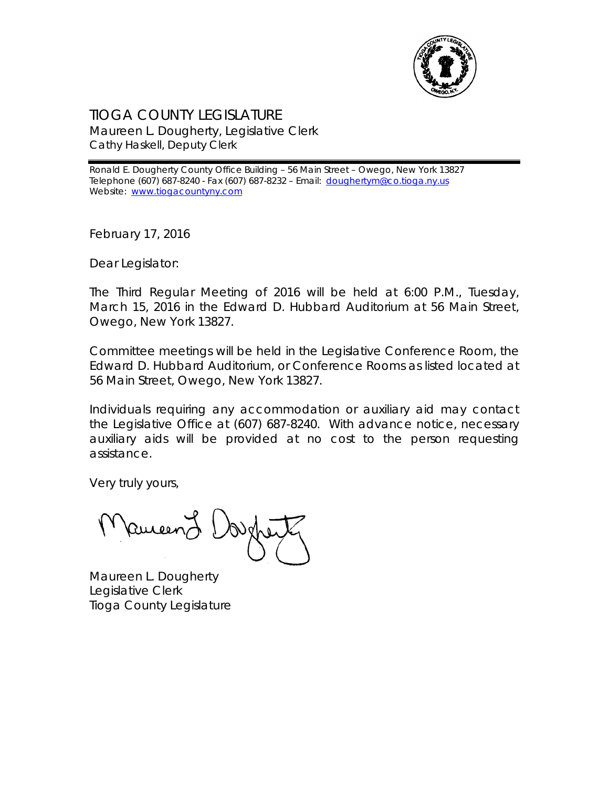

## TIOGA COUNTY LEGISLATURE Maureen L. Dougherty, Legislative Clerk Cathy Haskell, Deputy Clerk

Ronald E. Dougherty County Office Building – 56 Main Street – Owego, New York 13827 Telephone (607) 687-8240 - Fax (607) 687-8232 – Email: [doughertym@co.tioga.ny.us](mailto:doughertym@co.tioga.ny.us) Website: [www.tiogacountyny.com](http://www.tiogacountyny.com/)

February 17, 2016

Dear Legislator:

The Third Regular Meeting of 2016 will be held at 6:00 P.M., Tuesday, March 15, 2016 in the Edward D. Hubbard Auditorium at 56 Main Street, Owego, New York 13827.

Committee meetings will be held in the Legislative Conference Room, the Edward D. Hubbard Auditorium, or Conference Rooms as listed located at 56 Main Street, Owego, New York 13827.

Individuals requiring any accommodation or auxiliary aid may contact the Legislative Office at (607) 687-8240. With advance notice, necessary auxiliary aids will be provided at no cost to the person requesting assistance.

Very truly yours,

Ruieer

Maureen L. Dougherty Legislative Clerk Tioga County Legislature